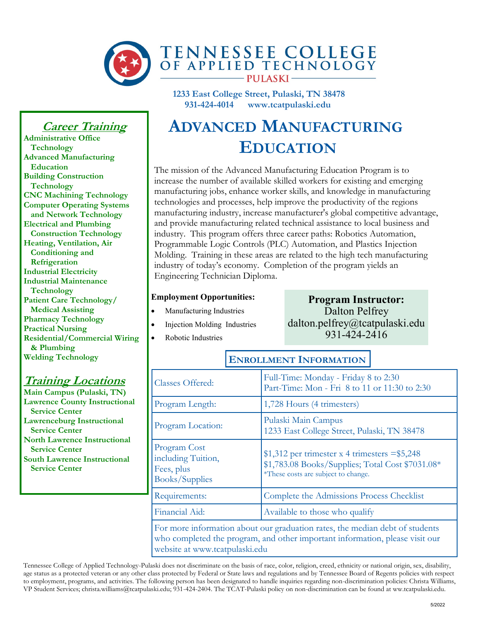

**1233 East College Street, Pulaski, TN 38478 931-424-4014 www.tcatpulaski.edu** 

### **Career Training**

**Administrative Office Technology Advanced Manufacturing Education Building Construction Technology CNC Machining Technology Computer Operating Systems and Network Technology Electrical and Plumbing Construction Technology Heating, Ventilation, Air Conditioning and Refrigeration Industrial Electricity Industrial Maintenance Technology Patient Care Technology/ Medical Assisting Pharmacy Technology Practical Nursing Residential/Commercial Wiring & Plumbing Welding Technology**

### **Training Locations**

**Main Campus (Pulaski, TN) Lawrence County Instructional Service Center Lawrenceburg Instructional Service Center North Lawrence Instructional Service Center South Lawrence Instructional Service Center**

# **ADVANCED MANUFACTURING EDUCATION**

The mission of the Advanced Manufacturing Education Program is to increase the number of available skilled workers for existing and emerging manufacturing jobs, enhance worker skills, and knowledge in manufacturing technologies and processes, help improve the productivity of the regions manufacturing industry, increase manufacturer's global competitive advantage, and provide manufacturing related technical assistance to local business and industry. This program offers three career paths: Robotics Automation, Programmable Logic Controls (PLC) Automation, and Plastics Injection Molding. Training in these areas are related to the high tech manufacturing industry of today's economy. Completion of the program yields an Engineering Technician Diploma.

#### **Employment Opportunities:**

- Manufacturing Industries
- Injection Molding Industries
- Robotic Industries

#### **Program Instructor:** Dalton Pelfrey dalton.pelfrey@tcatpulaski.edu 931-424-2416

# **ENROLLMENT INFORMATION**

| Classes Offered:                                                                                                                                                                               | Full-Time: Monday - Friday 8 to 2:30<br>Part-Time: Mon - Fri 8 to 11 or 11:30 to 2:30                                                      |  |
|------------------------------------------------------------------------------------------------------------------------------------------------------------------------------------------------|--------------------------------------------------------------------------------------------------------------------------------------------|--|
| Program Length:                                                                                                                                                                                | 1,728 Hours (4 trimesters)                                                                                                                 |  |
| Program Location:                                                                                                                                                                              | Pulaski Main Campus<br>1233 East College Street, Pulaski, TN 38478                                                                         |  |
| Program Cost<br>including Tuition,<br>Fees, plus<br>Books/Supplies                                                                                                                             | $$1,312$ per trimester x 4 trimesters = \$5,248<br>\$1,783.08 Books/Supplies; Total Cost \$7031.08*<br>*These costs are subject to change. |  |
| Requirements:                                                                                                                                                                                  | Complete the Admissions Process Checklist                                                                                                  |  |
| Financial Aid:                                                                                                                                                                                 | Available to those who qualify                                                                                                             |  |
| For more information about our graduation rates, the median debt of students<br>who completed the program, and other important information, please visit our<br>website at www.tcatpulaski.edu |                                                                                                                                            |  |

Tennessee College of Applied Technology-Pulaski does not discriminate on the basis of race, color, religion, creed, ethnicity or national origin, sex, disability, age status as a protected veteran or any other class protected by Federal or State laws and regulations and by Tennessee Board of Regents policies with respect to employment, programs, and activities. The following person has been designated to handle inquiries regarding non-discrimination policies: Christa Williams, VP Student Services; christa.williams@tcatpulaski.edu; 931-424-2404. The TCAT-Pulaski policy on non-discrimination can be found at ww.tcatpulaski.edu.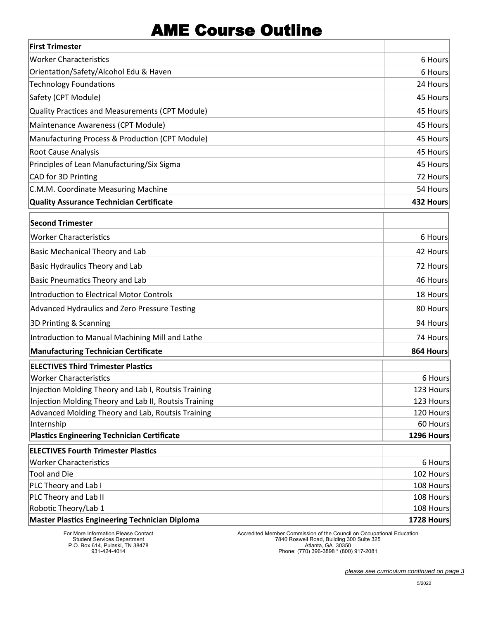### AME Course Outline

| <b>First Trimester</b>                                |            |
|-------------------------------------------------------|------------|
| <b>Worker Characteristics</b>                         | 6 Hours    |
| Orientation/Safety/Alcohol Edu & Haven                | 6 Hours    |
| <b>Technology Foundations</b>                         | 24 Hours   |
| Safety (CPT Module)                                   | 45 Hours   |
| Quality Practices and Measurements (CPT Module)       | 45 Hours   |
| Maintenance Awareness (CPT Module)                    | 45 Hours   |
| Manufacturing Process & Production (CPT Module)       | 45 Hours   |
| <b>Root Cause Analysis</b>                            | 45 Hours   |
| Principles of Lean Manufacturing/Six Sigma            | 45 Hours   |
| CAD for 3D Printing                                   | 72 Hours   |
| C.M.M. Coordinate Measuring Machine                   | 54 Hours   |
| Quality Assurance Technician Certificate              | 432 Hours  |
| <b>Second Trimester</b>                               |            |
| <b>Worker Characteristics</b>                         | 6 Hours    |
| <b>Basic Mechanical Theory and Lab</b>                | 42 Hours   |
| <b>Basic Hydraulics Theory and Lab</b>                | 72 Hours   |
| <b>Basic Pneumatics Theory and Lab</b>                | 46 Hours   |
| Introduction to Electrical Motor Controls             | 18 Hours   |
| Advanced Hydraulics and Zero Pressure Testing         | 80 Hours   |
| 3D Printing & Scanning                                | 94 Hours   |
| Introduction to Manual Machining Mill and Lathe       | 74 Hours   |
| Manufacturing Technician Certificate                  | 864 Hours  |
| <b>ELECTIVES Third Trimester Plastics</b>             |            |
| <b>Worker Characteristics</b>                         | 6 Hours    |
| Injection Molding Theory and Lab I, Routsis Training  | 123 Hours  |
| Injection Molding Theory and Lab II, Routsis Training | 123 Hours  |
| Advanced Molding Theory and Lab, Routsis Training     | 120 Hours  |
| Internship                                            | 60 Hours   |
| Plastics Engineering Technician Certificate           | 1296 Hours |
| <b>ELECTIVES Fourth Trimester Plastics</b>            |            |
| <b>Worker Characteristics</b>                         | 6 Hours    |
| <b>Tool and Die</b>                                   | 102 Hours  |
| PLC Theory and Lab I                                  | 108 Hours  |
| PLC Theory and Lab II                                 | 108 Hours  |
| Robotic Theory/Lab 1                                  | 108 Hours  |
| <b>Master Plastics Engineering Technician Diploma</b> | 1728 Hours |

For More Information Please Contact Student Services Department P.O. Box 614, Pulaski, TN 38478 931-424-4014

Accredited Member Commission of the Council on Occupational Education 7840 Roswell Road, Building 300 Suite 325 Atlanta, GA 30350 Phone: (770) 396-3898 \* (800) 917-2081

*please see curriculum continued on page 3*